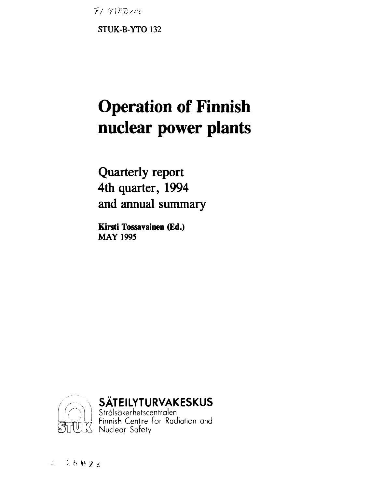$F19000$ 

STUK-B-YTO 132

# **Operation of Finnish** nuclear power plants

Quarterly report 4th quarter, 1994 and annual summary

Kirsti Tossavainen (Ed.) **MAY 1995** 



SÄTEILYTURVAKESKUS<br>Strålsäkerhetscentralen<br>TURK Nuclear Safety<br>TURK Nuclear Safety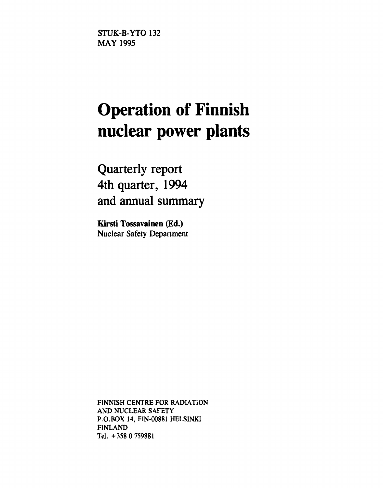STUK-B-YTO 132 MAY 1995

# **Operation of Finnish nuclear power plants**

**Quarterly report 4th quarter, 1994 and annual summary** 

**Kirsti Tossavainen (Ed.)**  Nuclear Safety Department

**FINNISH CENTRE FOR RADIATiON AND NUCLEAR SAFETY P.O.BOX 14, FIN-00881 HELSINKI FINLAND Tel. +358 0 759881**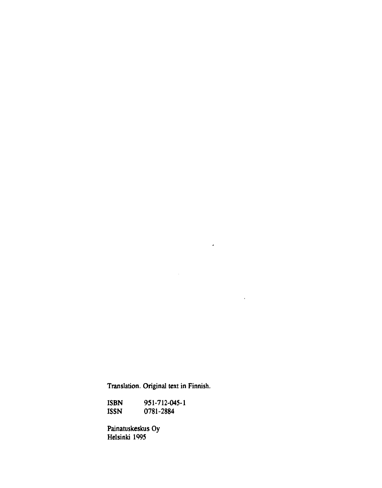**Translation. Original text in Finnish.** 

 $\mathcal{L}^{\text{max}}_{\text{max}}$  and  $\mathcal{L}^{\text{max}}_{\text{max}}$ 

 $\sim 10^{-11}$ 

 $\mathcal{L}_{\text{max}}$  .

**ISBN 951-712-045-1 ISSN 0781-2884** 

**Painatuskeskus Oy Helsinki 1995**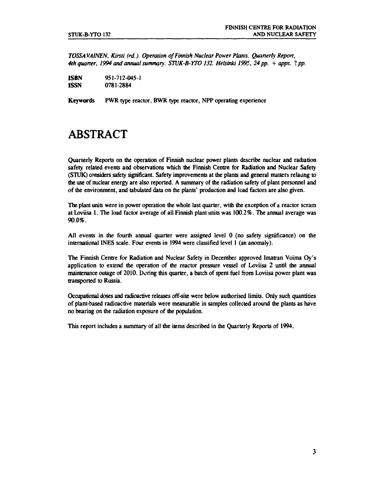*TOSSAVAINEN, Kirsti (ed). Operation of Finnish Nuclear Power Plants. Quarterly Report, 4th quarter, 1994 and annual summary. STUK-B-YTO132. Helsinki 1995, 24 pp. + apps. 1pp.* 

| ISBN        | 951-712-045-1 |
|-------------|---------------|
| <b>ISSN</b> | 0781-2884     |

**Keywords** PWR type reactor, BWR type reactor, NPP operating experience

### **ABSTRACT**

Quarterly Reports on the operation of Finnish nuclear power plants describe nuclear and radiation safety related events and observations which the Finnish Centre for Radiation and Nuclear Safety (STUK) considers safety significant. Safety improvements at the plants and general matters relaung to die use of nuclear energy are also reported. A summary of the radiation safety of plant personnel and of the environment, and tabulated data on the plants' production and load factors are also given.

The plant units were in power operation die whole last quarter, with die exception of a reactor scram at Loviisa 1. The load factor average of all Finnish plant units was 100.2%. The annual average was 90.0%.

All events in the fourth annual quarter were assigned level 0 (no safety significance) on the international INES scale. Four events in 1994 were classified level 1 (an anomaly).

The Finnish Centre for Radiation and Nuclear Safety in December approved Imatran Voima Oy's application to extend die operation of die reactor pressure vessel of Loviisa 2 until die annual maintenance outage of 2010. During this quarter, a batch of spent fuel from Loviisa power plant was transported to Russia.

Occupational doses and radioactive releases off-site were below audiorised limits. Only such quantities of plant-based radioactive materials were measurable in samples collected around die plants as have no bearing on die radiation exposure of die population.

This report includes a summary of all die items described in die Quarterly Reports of 1994.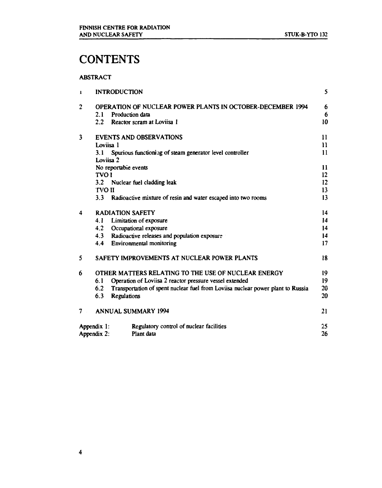## **CONTENTS**

#### **ABSTRACT**

| $\mathbf{r}$ |               | <b>INTRODUCTION</b>                                                             | 5            |
|--------------|---------------|---------------------------------------------------------------------------------|--------------|
| 2            |               | OPERATION OF NUCLEAR POWER PLANTS IN OCTOBER-DECEMBER 1994                      | 6            |
|              | 2.1           | Production data                                                                 | 6            |
|              | $2.2^{\circ}$ | Reactor scram at Loviisa 1                                                      | 10           |
| 3            |               | <b>EVENTS AND OBSERVATIONS</b>                                                  | 11           |
|              | Loviisa 1     |                                                                                 | $\mathbf{H}$ |
|              | 3.1           | Spurious functioning of steam generator level controller                        | $\mathbf{1}$ |
|              |               | Loviisa 2                                                                       |              |
|              |               | No reportable events                                                            | 11           |
|              | <b>TVO I</b>  |                                                                                 | 12           |
|              | 3.2           | Nuclear fuel cladding leak                                                      | 12           |
|              | <b>TVO II</b> |                                                                                 | 13           |
|              | 3.3           | Radioactive mixture of resin and water escaped into two rooms                   | 13           |
| 4            |               | <b>RADIATION SAFETY</b>                                                         | 14           |
|              | 4.1           | Limitation of exposure                                                          | 14           |
|              | 4.2           | Occupational exposure                                                           | 14           |
|              | 4.3           | Radioactive releases and population exposure                                    | 14           |
|              | 4.4           | Environmental monitoring                                                        | 17           |
| 5            |               | SAFETY IMPROVEMENTS AT NUCLEAR POWER PLANTS                                     | 18           |
| 6            |               | OTHER MATTERS RELATING TO THE USE OF NUCLEAR ENERGY                             | 19           |
|              | 6.1           | Operation of Loviisa 2 reactor pressure vessel extended                         | 19           |
|              | 6.2           | Transportation of spent nuclear fuel from Loviisa nuclear power plant to Russia | 20           |
|              | 6.3           | <b>Regulations</b>                                                              | 20           |
| 7            |               | <b>ANNUAL SUMMARY 1994</b>                                                      | 21           |
|              | Appendix 1:   | Regulatory control of nuclear facilities                                        | 25           |
|              | Appendix 2:   | Plant data                                                                      | 26           |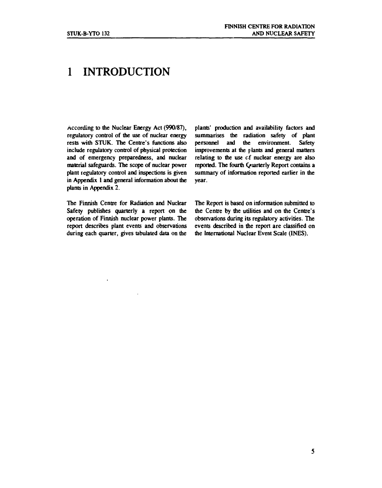### **1 INTRODUCTION**

**According to the Nuclear Energy Act (990/87), regulatory control of the use of nuclear energy rests with STUK. The Centre's functions also include regulatory control of physical protection and of emergency preparedness, and nuclear material safeguards. The scope of nuclear power plant regulatory control and inspections is given in Appendix 1 and general information about the plants in Appendix 2.** 

**The Finnish Centre for Radiation and Nuclear Safety publishes quarterly a report on the operation of Finnish nuclear power plants. The report describes plant events and observations during each quarter, gives tabulated data on the** 

**plants' production and availability factors and summarises the radiation safety of plant personnel and the environment. Safety improvements at the plants and general matters relating to the use cf nuclear energy are also reported. The fourth Quarterly Report contains a summary of information reported earlier in the year.** 

**The Report is based on information submitted to the Centre by the utilities and on the Centre's observations during its regulatory activities. The events described in the report are classified on the International Nuclear Event Scale (INES).**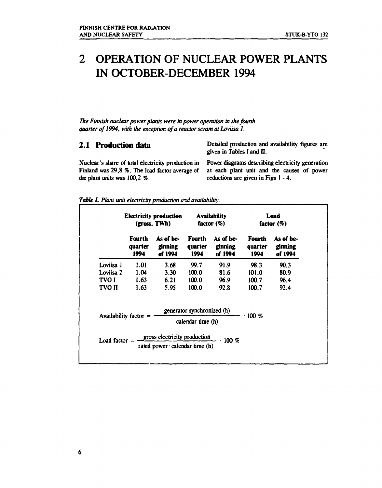### **2 OPERATION OF NUCLEAR POWER PLANTS IN OCTOBER-DECEMBER 1994**

*The Finnish nuclear power plants were in power operation in the fourth quarter of1994, with the exception of a reactor scram at Loviisa 1.* 

**2.1 Production data** Detailed production and availability figures are given in Tables I and II.

Nuclear's share of total electricity production in Power diagrams describing electricity generation the plant units was  $100.2$  %. reductions are given in Figs  $1 - 4$ .

Finland was 29,8 %. The load factor average of at each plant unit and the causes of power

*Table 1. Plan; unit electricity production and availability.* 

|               |                                  | <b>Electricity production</b><br>(gross, TWh)                                                                    |                                  | <b>Availability</b><br>factor $(\%)$ |                                  | Load<br>factor $(\%)$           |  |
|---------------|----------------------------------|------------------------------------------------------------------------------------------------------------------|----------------------------------|--------------------------------------|----------------------------------|---------------------------------|--|
|               | <b>Fourth</b><br>quarter<br>1994 | As of be-<br>ginning<br>of 1994                                                                                  | <b>Fourth</b><br>quarter<br>1994 | As of be-<br>ginning<br>of 1994      | <b>Fourth</b><br>quarter<br>1994 | As of be-<br>ginning<br>of 1994 |  |
| Loviisa l     | 1.01                             | 3.68                                                                                                             | 99.7                             | 91.9                                 | 98.3                             | 90.3                            |  |
| Loviisa 2     | 1.04                             | 3.30                                                                                                             | 100.0                            | 81.6                                 | 101.0                            | 80.9                            |  |
| TVO I         | 1.63                             | 6.21                                                                                                             | 100.0                            | 96.9                                 | 100.7                            | 96.4                            |  |
| <b>TVO II</b> | 1.63                             | 5.95                                                                                                             | 100.0                            | 92.8                                 | 100.7                            | 92.4                            |  |
|               |                                  |                                                                                                                  | generator synchronized (h)       |                                      | $.100\%$                         |                                 |  |
|               | Availability factor $=$          |                                                                                                                  | calendar time (h)                |                                      |                                  |                                 |  |
|               |                                  | Load factor $=$ $\frac{1}{\sqrt{2\pi}}\frac{1}{\sqrt{2\pi}}$ production<br>rated power $\cdot$ calendar time (h) |                                  | .100~%                               |                                  |                                 |  |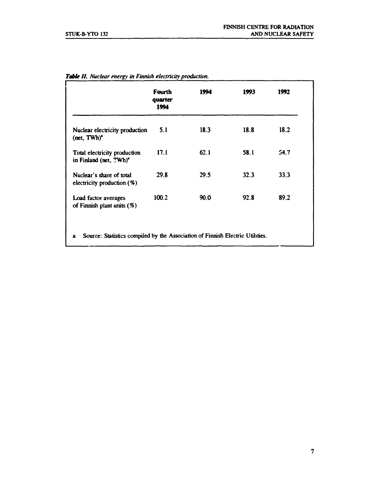|                                                                    | <b>Fourth</b><br>quarter<br>1994 | 1994 | 1993 | 1992 |
|--------------------------------------------------------------------|----------------------------------|------|------|------|
| Nuclear electricity production<br>$(\text{net}, \text{TWh})^2$     | 5.1                              | 18.3 | 18.8 | 18.2 |
| Total electricity production<br>in Finland (net, TWh) <sup>2</sup> | 17.1                             | 62.1 | 58.1 | 54.7 |
| Nuclear's share of total<br>electricity production $(\%)$          | 29.8                             | 29.5 | 32.3 | 33.3 |
| Load factor averages<br>of Finnish plant units $(\%)$              | 100.2                            | 90.0 | 92.8 | 89.2 |

*Table II. Nuclear energy in Finnish electricity production.*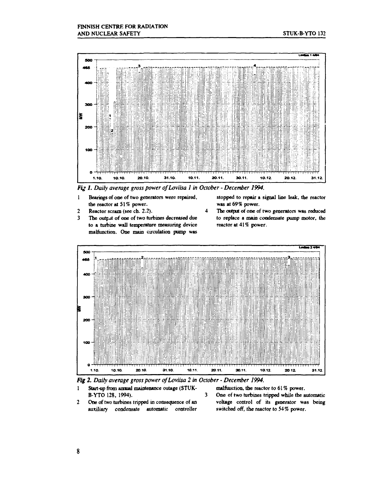

 $\boldsymbol{4}$ 

Fig 1. Daily average gross power of Loviisa 1 in October - December 1994.

- Bearings of one of two generators were repaired,  $\mathbf{I}$ the reactor at 51% power.
- $\mathbf{2}$ Reactor scram (see ch. 2.2).
- $\mathbf{3}$ The output of one of two turbines decreased due to a turbine wall temperature measuring device malfunction. One main circulation pump was

stopped to repair a signal line leak, the reactor was at 69% power.

The output of one of two generators was reduced to replace a main condensate pump motor, the reactor at 41% power.



3.

Fig 2. Daily average gross power of Loviisa 2 in October - December 1994.

- Start-up from amual maintenance outage (STUK- $\mathbf{1}$ B-YTO 128, 1994).
- $\overline{2}$ One of two turbines tripped in consequence of an auxiliary condensate automatic controller

malfunction, the reactor to 61% power.

One of two turbines tripped while the automatic voltage control of its generator was being switched off, the reactor to 54% power.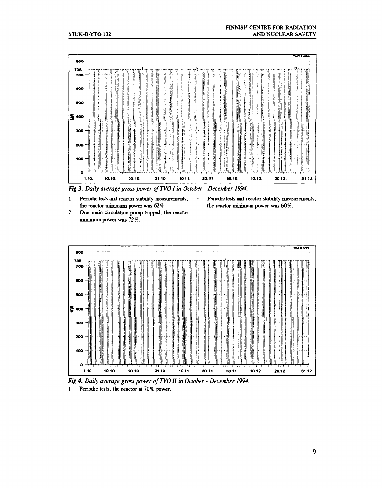

 $\overline{\mathbf{3}}$ 

Fig 3. Daily average gross power of TVO I in October - December 1994.

- $\mathbf{1}$ Periodic tests and reactor stability measurements, the reactor minimum power was 62%.
- $\overline{2}$ One main circulation pump tripped, the reactor minimum power was 72%.
- Periodic tests and reactor stability measurements, the reactor minimum power was 60%.





Periodic tests, the reactor at 70% power.  $\mathbf{1}$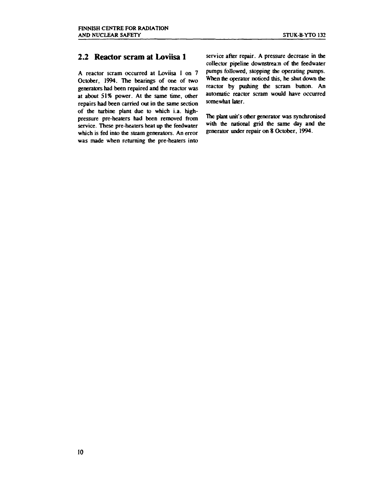#### **2.2 Reactor scram at Loviisa 1**

**A reactor scram occurred at Loviisa 1 on 7 October, 1994. The bearings of one of two generators had been repaired and the reactor was at about 51% power. At the same time, other repairs had been carried out in the same section of the turbine plant due to which i.a. highpressure pre-heaters had been removed from**  service. These pre-heaters heat up the feedwater **which is fed into the steam generators. An error was made when returning the pre-heaters into**  **service after repair. A pressure decrease in the collector pipeline downstream of the feedwater pumps followed, stopping the operating pumps. When the operator noticed this, he shut down the reactor by pushing the scram button. An automatic reactor scram would have occurred somewhat later.** 

**The plant unit's other generator was synchronised with the national grid the same day and the generator under repair on 8 October, 1994.**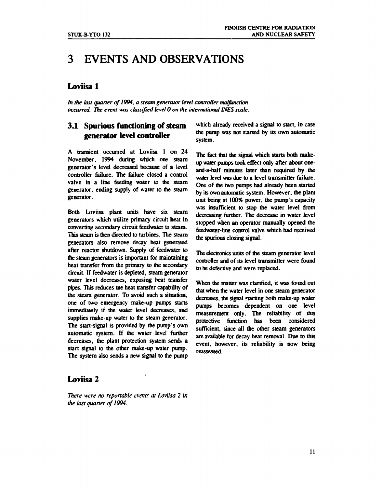### **3 EVENTS AND OBSERVATIONS**

#### **Loviisa l**

*In the last quarter of 1994, a steam generator level controller malfunction occurred. The event was classified level 0 on the international INES scale.* 

#### **3.1 Spurious functioning of steam generator level controller**

**A transient occurred at Loviisa 1 on 24 November, 1994 during which one steam generator's level decreased because of a level controller failure. The failure closed a control valve in a line feeding water to the steam generator, ending supply of water to the steam generator.** 

**Both Loviisa plant units have six steam generators which utilize primary circuit heat in converting secondary circuit feedwater to steam. This steam is then directed to turbines. The steam generators also remove decay heat generated after reactor shutdown. Supply of feedwater to the steam generators is important for maintaining heat transfer from the primary to the secondary circuit. If feedwater is depleted, steam generator water level decreases, exposing heat transfer pipes. This reduces tne heat transfer capability of the steam generator. To avoid such a situation, one of two emergency make-up pumps starts immediately if the water level decreases, and supplies make-up water to the steam generator. The start-signal is provided by the pump's own automatic system. If the water level further decreases, the plant protection system sends a start signal to the other make-up water pump. The system also sends a new signal to the pump** 

#### **Loviisa 2**

*There were no reportable events at Loviisa 2 in the last quarter of 1994.* 

**which already received a signal to start, in case the pump was not started by its own automatic system.** 

**The fact that die signal which starts both makeup water pumps took effect only after about oneand-a-half minutes later man required by the water level was due to a level transmitter failure. One of the two pumps had already been started by its own automatic system. However, the plant unit being at 100% power, the pump's capacity was insufficient to stop the water level from decreasing further. The decrease in water level stopped when an operator manually opened the feedwater-Iine control valve which had received the spurious closing signal.** 

**The electronics units of the steam generator level controller and of its level transmitter were found to be defective and were replaced.** 

**When the matter was clarified, it was found out that when the water level in one steam generator**  decreases, the signal starting both make-up water **pumps becomes dependent on one level measurement only. The reliability of mis protective function has been considered sufficient, since all the other steam generators are available for decay heat removal. Due to this event, however, its reliability is now being reassessed.**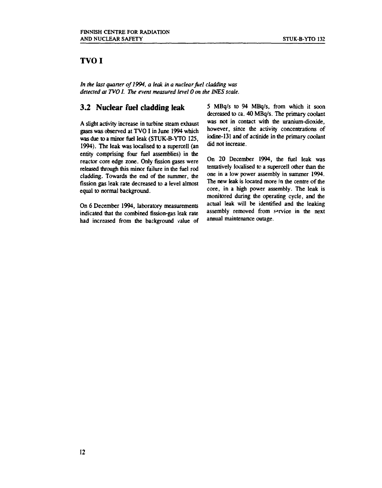#### **TVOI**

*In the last quarter of 1994, a leak in a nuclear fuel cladding was detected at TVO I. The event measured level 0 on the INES scale.* 

#### **3.2 Nuclear fuel cladding leak**

**A slight activity increase in turbine steam exhaust gases was observed at TVO I in June 1994 which was due to a minor fuel leak (STUK-B-YTO 125, 1994). The leak was localised to a supercell (an entity comprising four fuel assemblies) in the reactor core edge zone. Only fission gases were released through this minor failure in the fuel rod cladding. Towards the end of the summer, the fission gas leak rate decreased to a level almost equal to normal background.** 

**On 6 December 1994, laboratory measurements indicated that the combined fission-gas leak rate had increased from the background value of**  **5 MBq/s to 94 MBq/s, from which it soon decreased to ca. 40 MBq/s. The primary coolant was not in contact with the uranium-dioxide, however, since the activity concentrations of iodine-131 and of actinide in the primary coolant did not increase.** 

**On 20 December 1994, the fuel leak was tentatively localised to a supercell other than the one in a low power assembly in summer 1994. The new leak is located more in the centre of the core, in a high power assembly. The leak is monitored during the operating cycle, and the actual leak will be identified and the leaking assembly removed from service in the next annual maintenance outage.**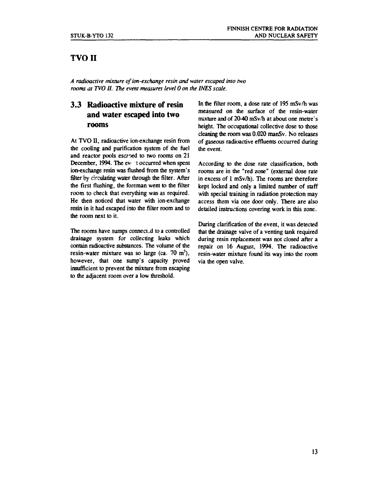#### **TVOII**

*A radioactive mixture of ion-exchange resin and water escaped into two rooms at TVO II. The event measures level 0 on the INES scale.* 

#### **3.3 Radioactive mixture of resin and water escaped into two rooms**

**At TVO II, radioactive ion-exchange resin from the cooling and purification system of the fuel**  and reactor pools escaped to two rooms on 21 December, 1994. The ev-t occurred when spent **ion-exchange resin was flushed from the system's filter by circulating water through the filter. After the first flushing, the foreman went to the filter room to check that everything was as required. He then noticed that water with ion-exchange resin in it had escaped into the filter room and to the room next to it.** 

The rooms have sumps connected to a controlled **drainage system for collecting leaks which contain radioactive substances. The volume of the resin-water mixture was so large (ca. 70 m<sup>3</sup> ), however, that one sump's capacity proved insufficient to prevent the mixture from escaping to the adjacent room over a low threshold.** 

**In the filter room, a dose rate of 195 mSv/h was measured on the surface of the resin-water mixture and of 20-40 mSv/h at about one metre's height. The occupational collective dose to those cleaning the room was 0.020 manSv. No releases of gaseous radioactive effluents occurred during the event.** 

**According to the dose rate classification, both rooms are in the "red zone" (external dose rate in excess of 1 mSv/h). The rooms are therefore kept locked and only a limited number of staff with special training in radiation protection may access them via one door only. There are also detailed instructions covering work in this zone.** 

**During clarification of the event, it was detected that die drainage valve of a venting tank required during resin replacement was not closed after a repair on 16 August, 1994. The radioactive resin-water mixture found its way into the room via the open valve.**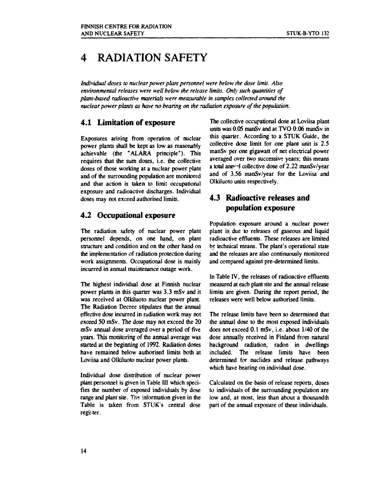### **4 RADIATION SAFETY**

*Individual doses to nuclear power plant personnel were below the dose limit. Also environmental releases were well below the release limits. Only such quantities of plant-based radioactive materials were measurable in samples collected around the nuclear power plants as have no bearing on the radiation exposure of the population.* 

#### **4.1 Limitation of exposure**

**Exposures arising from operation of nuclear power plants shall be kept as low as reasonably achievable (the "ALARA principle"). This requires that the sum doses, i.e. the collective doses of those working at a nuclear power plant and of the surrounding population are monitored and that action is taken to limit occupational exposure and radioactive discharges. Individual doses may not exceed authorised limits.** 

#### **4.2 Occupational exposure**

**The radiation safety of nuclear power plant personnel depends, on one hand, on plant structure and condition and on the other hand on die implementation of radiation protection during work assignments. Occupational dose is mainly incurred in annual maintenance outage work.** 

**The highest individual dose at Finnish nuclear power plants in this quarter was 3.3 mSv and it was received at Olkiluoto nuclear power plant. The Radiation Decree stipulates that the annual effective dose incurred in radiation work may not exceed 50 mSv. The dose may not exceed the 20 mSv annual dose averaged over a period of five years. This monitoring of the annual average was started at the beginning of 1992. Radiation doses have remained below authorised limits both at Loviisa and Olkiluoto nuclear power plants.** 

**Individual dose distribution of nuclear power plant personnel is given in Table III which specifies the number of exposed individuals by dose range and plant site. The information given in the Table is taken from STUK's central dose register.** 

**The collective occupational dose at Loviisa plant units was 0.05 manSv and at TVO 0.06 manSv in this quarter. According to a STUK Guide, the collective dose limit for one plant unit is 2.5 manSv per one gigawatt of net electrical power averaged over two successive years; this means a total arav-'J collective dose of 2.22 manSv/year and of 3.56 manSv/year for the Loviisa and Olkiluoto units respectively.** 

#### **4.3 Radioactive releases and population exposure**

**Population exposure around a nuclear power plant is due to releases of gaseous and liquid radioactive effluents. These releases are limited**  *by* **technical means. The plant's operational state and the releases are also continuously monitored and compared against pre-determined limits.** 

In Table IV, the releases of radioactive effluents **measured at each plant site and the annual release limits are given. During the report period, the releases were well below authorised limits.** 

**The release limits have been so determined that the annual dose to the most exposed individuals does not exceed 0.1 mSv, i.e. about 1/40 of the dose annually received in Finland from natural background radiation, radon in dwellings included. The release limits have been determined for nuclides and release pathways which have bearing on individual dose.** 

**Calculated on the basis of release reports, doses to individuals of the surrounding population are low and, at most, less than about a thousandth part of the annual exposure of these individuals.**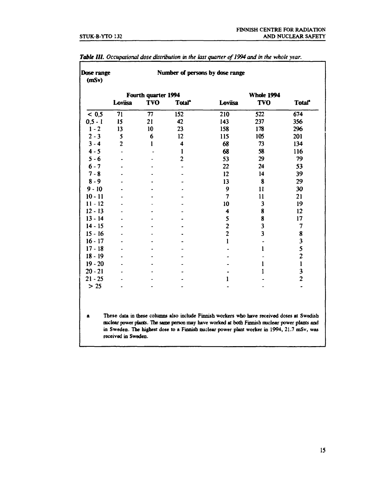|            |                | Fourth quarter 1994 |                    |                         | <b>Whole 1994</b>       |                         |
|------------|----------------|---------------------|--------------------|-------------------------|-------------------------|-------------------------|
|            | Loviisa        | <b>TVO</b>          | Total <sup>*</sup> | Loviisa                 | <b>TVO</b>              | Total <sup>*</sup>      |
| < 0.5      | 71             | 77                  | 152                | 210                     | 522                     | 674                     |
| $0, 5 - 1$ | 15             | 21                  | 42                 | 143                     | 237                     | 356                     |
| $1 - 2$    | 13             | 10                  | 23                 | 158                     | 178                     | 296                     |
| $2 - 3$    | 5              | 6                   | 12                 | 115                     | 105                     | 201                     |
| $3 - 4$    | $\overline{2}$ | 1                   | 4                  | 68                      | 73                      | 134                     |
| $4 - 5$    |                |                     | 1                  | 68                      | 58                      | 116                     |
| $5 - 6$    |                |                     | $\overline{c}$     | 53                      | 29                      | 79                      |
| $6 - 7$    |                |                     |                    | 22                      | 24                      | 53                      |
| $7 - 8$    |                |                     |                    | 12                      | 14                      | 39                      |
| $8 - 9$    |                |                     |                    | 13                      | 8                       | 29                      |
| $9 - 10$   |                |                     |                    | 9                       | 11                      | 30                      |
| $10 - 11$  |                |                     |                    |                         | 11                      | 21                      |
| $11 - 12$  |                |                     |                    | 10                      | 3                       | 19                      |
| $12 - 13$  |                |                     |                    | 4                       | 8                       | 12                      |
| $13 - 14$  |                |                     |                    | 5                       | 8                       | 17                      |
| $14 - 15$  |                |                     |                    | $\overline{\mathbf{c}}$ | 3                       | $\overline{7}$          |
| $15 - 16$  |                |                     |                    | $\overline{c}$          | $\overline{\mathbf{3}}$ | 8                       |
| $16 - 17$  |                |                     |                    | 1                       |                         | 3                       |
| $17 - 18$  |                |                     |                    |                         | $\mathbf{1}$            | 5                       |
| $18 - 19$  |                |                     |                    |                         |                         | $\overline{c}$          |
| $19 - 20$  |                |                     |                    |                         | 1                       | $\mathbf{1}$            |
| $20 - 21$  |                |                     |                    |                         | 1                       | $\overline{\mathbf{3}}$ |
| $21 - 25$  |                |                     |                    | 1                       |                         | $\overline{2}$          |
| $>25$      |                |                     |                    |                         |                         |                         |

*Table III. Occupational dose distribution in the last quarter of1994 and in the whole year.*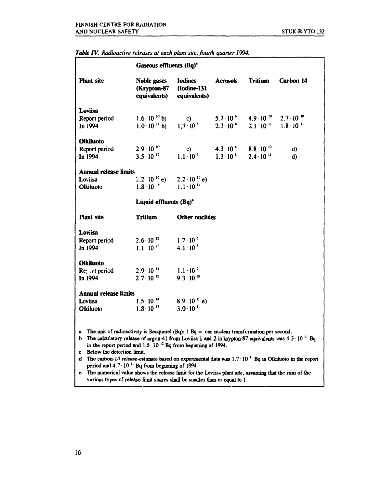|                                                     | Gaseous effluents (Bq) <sup>*</sup>                                                                                                                                                                                                                                                                                                                                                                                                                                                                                                                                                                                                                                   |                                                                                                                                                   |                                        |                                                            |           |  |
|-----------------------------------------------------|-----------------------------------------------------------------------------------------------------------------------------------------------------------------------------------------------------------------------------------------------------------------------------------------------------------------------------------------------------------------------------------------------------------------------------------------------------------------------------------------------------------------------------------------------------------------------------------------------------------------------------------------------------------------------|---------------------------------------------------------------------------------------------------------------------------------------------------|----------------------------------------|------------------------------------------------------------|-----------|--|
| <b>Plant</b> site                                   | Noble gases Iodines<br>(Krypton-87 (Iodine-131                                                                                                                                                                                                                                                                                                                                                                                                                                                                                                                                                                                                                        | equivalents) equivalents)                                                                                                                         | Aerosols                               | Tritium                                                    | Carbon 14 |  |
| Loviisa                                             |                                                                                                                                                                                                                                                                                                                                                                                                                                                                                                                                                                                                                                                                       |                                                                                                                                                   |                                        |                                                            |           |  |
| Report period                                       | $1.6 \cdot 10^{10}$ b)                                                                                                                                                                                                                                                                                                                                                                                                                                                                                                                                                                                                                                                | $\circ$ (c)                                                                                                                                       |                                        | $5.2 \cdot 10^{6}$ $4.9 \cdot 10^{10}$ $2.7 \cdot 10^{10}$ |           |  |
| In 1994                                             |                                                                                                                                                                                                                                                                                                                                                                                                                                                                                                                                                                                                                                                                       | 1.0 $\cdot$ 10 <sup>11</sup> b) 1.7 $\cdot$ 10 <sup>5</sup> 2.3 $\cdot$ 10 <sup>8</sup> 2.1 $\cdot$ 10 <sup>11</sup> 1.8 $\cdot$ 10 <sup>11</sup> |                                        |                                                            |           |  |
| <b>Olkiluoto</b>                                    |                                                                                                                                                                                                                                                                                                                                                                                                                                                                                                                                                                                                                                                                       |                                                                                                                                                   |                                        |                                                            |           |  |
| Report period                                       | $2.9 \cdot 10^{10}$                                                                                                                                                                                                                                                                                                                                                                                                                                                                                                                                                                                                                                                   | $\mathbf{c}$ )                                                                                                                                    |                                        | $4.3 \cdot 10^{6}$ $8.8 \cdot 10^{10}$                     | d)        |  |
| In 1994                                             | $3.5 \cdot 10^{-12}$                                                                                                                                                                                                                                                                                                                                                                                                                                                                                                                                                                                                                                                  | $1.1 \cdot 10^{9}$                                                                                                                                | $1.3 \cdot 10^{8}$ $2.4 \cdot 10^{11}$ |                                                            | d)        |  |
| <b>Annual release limits</b>                        |                                                                                                                                                                                                                                                                                                                                                                                                                                                                                                                                                                                                                                                                       |                                                                                                                                                   |                                        |                                                            |           |  |
| Loviisa                                             | $2.2 \cdot 10^{-16}$ e) $2.2 \cdot 10^{-11}$ e)                                                                                                                                                                                                                                                                                                                                                                                                                                                                                                                                                                                                                       |                                                                                                                                                   |                                        |                                                            |           |  |
| Olkiluoto                                           | $1.8 \cdot 10^{-6}$ $1.1 \cdot 10^{11}$                                                                                                                                                                                                                                                                                                                                                                                                                                                                                                                                                                                                                               |                                                                                                                                                   |                                        |                                                            |           |  |
|                                                     | Liquid effluents (Bq) <sup>*</sup>                                                                                                                                                                                                                                                                                                                                                                                                                                                                                                                                                                                                                                    |                                                                                                                                                   |                                        |                                                            |           |  |
| <b>Plant</b> site                                   | <b>Tritium</b>                                                                                                                                                                                                                                                                                                                                                                                                                                                                                                                                                                                                                                                        | <b>Other nuclides</b>                                                                                                                             |                                        |                                                            |           |  |
| Loviisa                                             |                                                                                                                                                                                                                                                                                                                                                                                                                                                                                                                                                                                                                                                                       |                                                                                                                                                   |                                        |                                                            |           |  |
| Report period                                       | $2.6 \cdot 10^{-12}$                                                                                                                                                                                                                                                                                                                                                                                                                                                                                                                                                                                                                                                  | $1.7 \cdot 10^{6}$                                                                                                                                |                                        |                                                            |           |  |
| In 1994                                             | $1.1 \cdot 10^{-13}$                                                                                                                                                                                                                                                                                                                                                                                                                                                                                                                                                                                                                                                  | $4.1 \cdot 10^{8}$                                                                                                                                |                                        |                                                            |           |  |
| Olkiluoto                                           |                                                                                                                                                                                                                                                                                                                                                                                                                                                                                                                                                                                                                                                                       |                                                                                                                                                   |                                        |                                                            |           |  |
| Re: rt period                                       | $2.9 \cdot 10^{-11}$                                                                                                                                                                                                                                                                                                                                                                                                                                                                                                                                                                                                                                                  | $1.1 \cdot 10^{9}$                                                                                                                                |                                        |                                                            |           |  |
| In 1994                                             | $2.7 \cdot 10^{-12}$                                                                                                                                                                                                                                                                                                                                                                                                                                                                                                                                                                                                                                                  | $9.3 \cdot 10^{10}$                                                                                                                               |                                        |                                                            |           |  |
| <b>Annual release limits</b>                        |                                                                                                                                                                                                                                                                                                                                                                                                                                                                                                                                                                                                                                                                       |                                                                                                                                                   |                                        |                                                            |           |  |
| Loviisa                                             | $1.5 \cdot 10^{-14}$                                                                                                                                                                                                                                                                                                                                                                                                                                                                                                                                                                                                                                                  | $8.9 \cdot 10^{11}$ e)                                                                                                                            |                                        |                                                            |           |  |
| Olkiluoto                                           | $1.8 \cdot 10^{-13}$                                                                                                                                                                                                                                                                                                                                                                                                                                                                                                                                                                                                                                                  | $3.0 \cdot 10^{11}$                                                                                                                               |                                        |                                                            |           |  |
| a<br>b<br>Below the detection limit.<br>c<br>d<br>e | The unit of radioactivity is Becquerel $(Bq)$ ; 1 $Bq =$ one nuclear transformation per second.<br>The calculatory release of argon-41 from Loviisa 1 and 2 in krypton-87 equivalents was $4.3 \cdot 10^{-11}$ Bq<br>in the report period and $1.5 \cdot 10^{-12}$ Bq from beginning of 1994.<br>The carbon-14 release-estimate based on experimental data was $1.7 \cdot 10^{-11}$ Bq in Olkihuoto in the report<br>period and $4.7 \cdot 10^{-11}$ Bq from beginning of 1994.<br>The numerical value shows the release limit for the Loviisa plant site, assuming that the sum of the<br>various types of release limit shares shall be smaller than or equal to 1. |                                                                                                                                                   |                                        |                                                            |           |  |

#### *Table IV. Radioactive releases at each plant site, fourth quarter 1994.*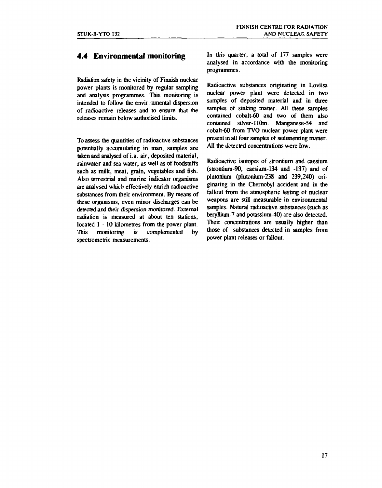#### **4.4 Environmental monitoring**

**Radiation safety in the vicinity of Finnish nuclear power plants is monitored by regular sampling and analysis programmes. This monitoring is intended to follow the envir nmental dispersion of radioactive releases and to ensure that me releases remain below authorised limits.** 

**To assess the quantities of radioactive substances potentially accumulating in man, samples are taken and analysed of i.a. air, deposited material, rainwater and sea water, as well as of foodstuffs such as milk, meat, grain, vegetables and fish. Also terrestrial and marine indicator organisms are analysed which effectively enrich radioactive substances from their environment. By means of these organisms, even minor discharges can be detected and their dispersion monitored. External radiation is measured at about ten stations, located 1 - 10 kilometres from the power plant. This monitoring is complemented by spectrometric measurements.** 

**In this quarter, a total of 177 samples were analysed in accordance with the monitoring programmes.** 

**Radioactive substances originating in Loviisa nuclear power plant were detected in two samples of deposited material and in three samples of sinking matter. All these samples contained cobalt-60 and two of them also contained silver-110m. Manganese-54 and cobalt-60 from TVO nuclear power plant were present in all four samples of sedimenting matter. All the detected concentrations were low.** 

**Radioactive isotopes of strontium and caesium (strontium-90, caesium-134 and -137) and of plutonium (plutonium-238 and 239,240) originating in the Chernobyl accident and in the fallout from the atmospheric testing of nuclear weapons are still measurable in environmental samples. Natural radioactive substances (such as beryllium-<sup>7</sup> and potassium-40) are also detected. Their concentrations are usually higher than those of substances detected in samples from power plant releases or fallout.**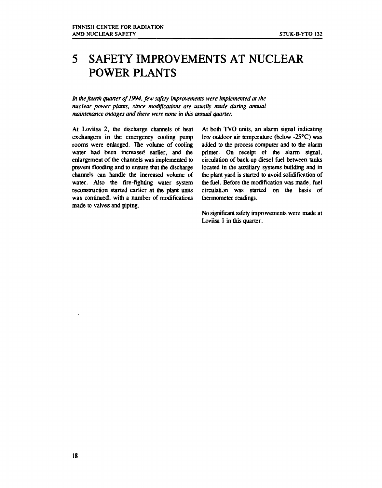## **5 SAFETY IMPROVEMENTS AT NUCLEAR POWER PLANTS**

*In the fourth quarter of 1994, few safety improvements were implemented at the nuclear power plants, since modifications are usually made during annual maintenance outages and there were none in this annual quarter.* 

At Loviisa 2, the discharge channels of heat exchangers in the emergency cooling pump rooms were enlarged. The volume of cooling water had been increased earlier, and the enlargement of the channels was implemented to prevent flooding and to ensure that the discharge channels can handle the increased volume of water. Also the fire-fighting water system reconstruction started earlier at the plant units was continued, with a number of modifications made to valves and piping.

At both TVO units, an alarm signal indicating low outdoor air temperature (below -25°C) was added to the process computer and to the alarm printer. On receipt of the alarm signal, circulation of back-up diesel fuel between tanks located in the auxiliary systems building and in the plant yard is started to avoid solidification of the fuel. Before the modification was made, fuel circulation was started on the basis of thermometer readings.

No significant safety improvements were made at Loviisa 1 in this quarter.

 $\mathcal{A}$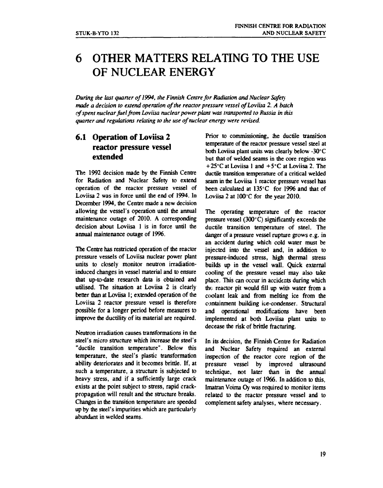## **6 OTHER MATTERS RELATING TO THE USE OF NUCLEAR ENERGY**

*During the last quarter of 1994, the Finnish Centre for Radiation and Nuclear Safety made a decision to extend operation of the reactor pressure vessel of Loviisa 2. A batch of spent nuclear fuel from Loviisa nuclear power plant was transported to Russia in this quarter and regulations relating to the use of nuclear energy were revised.* 

#### **6.1 Operation of Loviisa 2 reactor pressure vessel extended**

**The 1992 decision made by the Finnish Centre for Radiation and Nuclear Safety to extend operation of die reactor pressure vessel of Loviisa 2 was in force until the end of 1994. In December 1994, the Centre made a new decision allowing the vessel's operation until the annual maintenance outage of 2010. A corresponding decision about Loviisa 1 is in force until the annual maintenance outage of 1996.** 

**The Centre has restricted operation of the reactor pressure vessels of Loviisa nuclear power plant units to closely monitor neutron irradiationinduced changes in vessel material and to ensure that up-to-date research data is obtained and utilised. The situation at Loviisa 2 is clearly better than at Loviisa 1; extended operation of the Loviisa 2 reactor pressure vessel is therefore possible for a longer period before measures to improve the ductility of its material are required.** 

**Neutron irradiation causes transformations in the steel's micro structure which increase the steel's "ductile transition temperature". Below this temperature, the steel's plastic transformation ability deteriorates and it becomes brittle. If, at such a temperature, a structure is subjected to heavy stress, and if a sufficiently large crack exists at the point subject to stress, rapid crackpropagation will result and the structure breaks. Changes in the transition temperature are speeded up by the steel's impurities which are particularly abundant in welded seams.** 

Prior to commissioning, the ductile transition **temperature of die reactor pressure vessel steel at both Loviisa plant units was clearly below -30° C but that of welded seams in the core region was +25°C at Loviisa 1 and +5°C at Loviisa 2. The ductile transition temperature of a critical welded seam in the Loviisa 1 reactor pressure vessel has**  been calculated at 135°C for 1996 and that of **Loviisa 2 at 100°C for the year 2010.** 

**The operating temperature of the reactor pressure vessel (300° C) significantly exceeds the ductile transition temperature of steel. The danger of a pressure vessel rupture grows e.g. in an accident during which cold water must be injected into the vessel and, in addition to pressure-induced stress, high thermal stress builds up in the vessel wall. Quick external cooling of the pressure vessel may also take place. This can occur in accidents during which the reactor pit would fill up with water from a coolant leak and from melting ice from the containment building ice-condenser. Structural and operational modifications have been implemented at both Loviisa plant units to decease the risk of brittle fracturing.** 

**In its decision, the Finnish Centre for Radiation and Nuclear Safety required an external inspection of the reactor core region of the pressure vessel by improved ultrasound technique, not later than in the annual maintenance outage of 1966. In addition to this, Imatran Voima Oy was required to monitor items related to the reactor pressure vessel and to complement safety analyses, where necessary.**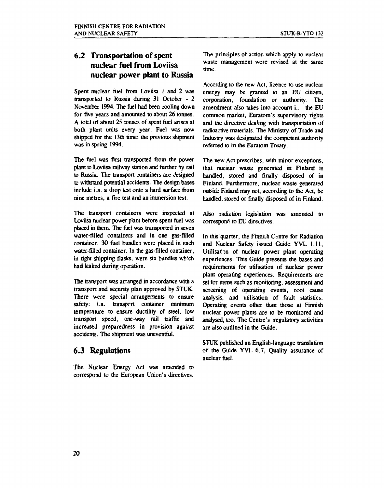#### **6.2 Transportation of spent nuclear fuel from Loviisa nuclear power plant to Russia**

**Spent nuclear fuel from Loviisa 1 and 2 was transported to Russia during 31 October - 2 November 1994. The fuel had been cooling down for five years and amounted to about 26 tonnes. A tofcl of about 25 tonnes of spent fuel arises at both plant units every year. Fuel was now shipped for the 13th time; the previous shipment was in spring 1994.** 

**The fuel was first transported from the power plant to Loviisa railway station and further by rail to Russia. The transport containers are designed to withstand potential accidents. The design bases include i.a. a drop test onto a hard surface from nine metres, a fire test and an immersion test.** 

**The transport containers were inspected at Loviisa nuclear power plant before spent fuel was placed in them. The fuel was transported in seven water-filled containers and in one gas-filled container. 30 fuel bundles were placed in each water-filled container. In the gas-filled container, in tight shipping flasks, were six bundles wh: ch had leaked during operation.** 

**The transport was arranged in accordance with a transport and security plan approved by STUK. There were special arrangements to ensure safety: i.a. transport container minimum temperature to ensure ductility of steel, low transport speed, one-way rail traffic and increased preparedness in provision against accidents. The shipment was uneventful.** 

#### **6.3 Regulations**

**The Nuclear Energy Act was amended to correspond to the European Union's directives.**  **The principles of action which apply to nuclear waste management were revised at die same time.** 

**According to the new Act, licence to use nuclear energy may be granted to an EU citizen, corporation, foundation or authority. The amendment also takes into account i. the EU common market, Euratom's supervisory rights and the directive dealing with transportation of radioactive materials. The Ministry of Trade and Industry was designated the competent authority referred to in the Euratom Treaty.** 

**The new Act prescribes, with minor exceptions, that nuciear waste generated in Finland is handled, stored and finally disposed of in Finland. Furthermore, nuclear waste generated outside Finland may not, according to the Act, be handled, stored or finally disposed of in Finland.** 

**Also radiation legislation was amended to**  correspond to EU directives.

In this quarter, the Finnish Centre for Radiation **and Nuclear Safety issued Guide YVL 1.11, Utilisation of nuclear power plant operating experiences. This Guide presents the bases and requirements for utilisation of nuclear power plant operating experiences. Requirements are set for items such as monitoring, assessment and screening of operating events, root cause analysis, and utilisation of fault statistics. Operating events other than those at Finnish nuclear power plants are to be monitored and analysed, too. The Centre's regulatory activities are also outlined in the Guide.** 

**STUK published an English-language translation of the Guide YVL 6.7, Quality assurance of nuclear fuel.**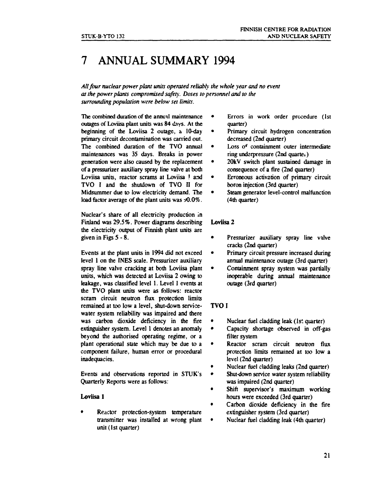## **7 ANNUAL SUMMARY 1994**

*All four nuclear power plant units operated reliably the whole year and no event at the power plants compromised safety. Doses to personnel and to the surrounding population were below set limits.* 

The combined duration of the annual maintenance outages of Loviisa plant units was 84 days. At the beginning of the Loviisa 2 outage, a 10-day primary circuit decontamination was earned out. The combined duration of the TVO annual maintenances was 35 days. Breaks in power generation were also caused by the replacement of a pressurizer auxiliary spray line valve at both Loviisa units, reactor scrams at Loviisa ! and TVO I and the shutdown of TVO II for Midsummer due to low electricity demand. The load factor average of the plant units was  $\pm 0.0\%$ .

Nuclear's share of all electricity production in Finland was 29.5%. Power diagrams describing the electricity output of Finnish plant units are given in Figs 5-8.

Events at the plant units in 1994 did not exceed level 1 on the INES scale. Pressurizer auxiliary spray line valve cracking at both Loviisa plant units, which was detected at Loviisa 2 owing to leakage, was classified level 1. Level 1 events at the TVO plant units were as follows: reactor scram circuit neutron flux protection limits remained at too low a level, shut-down servicewater system reliability was impaired and there was carbon dioxide deficiency in the fire extinguisher system. Level 1 denotes an anomaly beyond the authorised operating regime, or a plant operational state which may be due to a component failure, human error or procedural inadequacies.

Events and observations reported in STUK's Quarterly Reports were as follows:

#### **Loviisa** 1

Reactor protection-system temperature transmitter was installed at wrong plant unit (1st quarter)

- $\bullet$ Errors in work order procedure (1st quarter)
	- Primary circuit hydrogen concentration decreased (2nd quarter)
- Loss of containment outer intermediate  $\bullet$ ring underpressure  $(2nd$  quarte $\lambda$ )
- 20kV switch plant sustained damage in consequence of a fire (2nd quarter)
- Erroneous activation of primary circuit boron injection (3rd quarter)
- Steam generator level-control malfunction (4th quarter)

#### Loviisa 2

- Pressurizer auxiliary spray line valve cracks (2nd quarter)
- Primary circuit pressure increased during annual maintenance outage (3rd quarter)
- Containment spray system was partially inoperable during annual maintenance outage (3rd quarter)

#### **TVO** I

- Nuclear fuel cladding leak (1st quarter)
- $\bullet$ Capacity shortage observed in off-gas filter system
- Reactor scram circuit neutron flux protection limits remained at too low a level (2nd quarter)
- Nuclear fuel cladding leaks (2nd quarter)
- $\bullet$ Shut-down service water system reliability was impaired (2nd quarter)
- Shift supervisor's maximum working  $\bullet$ hours were exceeded (3rd quarter)
- Carbon dioxide deficiency in the fire extinguisher system (3rd quarter)
- Nuclear fuel cladding leak (4th quarter)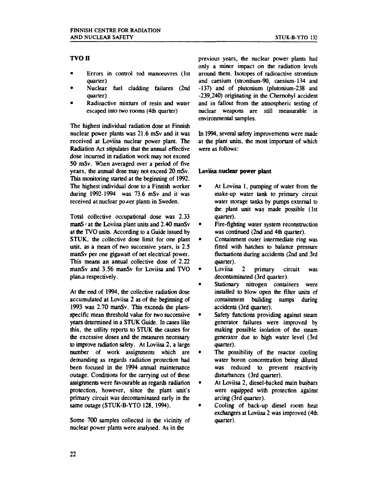#### **TVOII**

- Errors in control rod manoeuvres (1st quarter)
- Nuclear fuel cladding failures (2nd quarter)
- Radioactive mixture of resin and water escaped into two rooms (4th quarter)

The highest individual radiation dose at Finnish nuclear power plants was 21.6 mSv and it was received at Loviisa nuclear power plant. The Radiation Act stipulates that the annual effective dose incurred in radiation work may not exceed 50 mSv. When averaged over a period of five years, the annual dose may not exceed 20 mSv. This monitoring started at the beginning of 1992. The highest individual dose to a Finnish worker during 1992-1994 was 73.6 mSv and it was received at nuclear power plants in Sweden.

Total collective occupational dose was 2.33  **at the Loviisa plant units and 2.40 manSv** at the TVO units. According to a Guide issued by STUK, the collective dose limit for one plant unit, as a mean of two successive years, is 2.5 manSv per one gigawatt of net electrical power. This means an annual collective dose of 2.22 manSv and 3.56 manSv for Loviisa and TVO plan.s respectively.

At the end of 1994, the collective radiation dose accumulated at Loviisa 2 as of the beginning of 1993 was 2.70 manSv. This exceeds the plantspecific mean threshold value for two successive years determined in a STUK Guide. In cases like this, the utility reports to STUK the causes for the excessive doses and the measures necessary to improve radiation safety. At Loviisa 2, a large number of work assignments which are demanding as regards radiation protection had been focused in the 1994 annual maintenance outage. Conditions for the carrying out of these assignments were favourable as regards radiation protection, however, since the plant unit's primary circuit was decontaminated early in the same outage (STUK-B-YTO 128, 1994).

Some 700 samples collected in the vicinity of nuclear power plants were analysed. As in the

previous years, the nuclear power plants had only a minor impact on the radiation levels around them. Isotopes of radioactive strontium and caesium (strontium-90, caesium-134 and -137) and of plutonium (piutonium-238 and -239,240) originating in the Chernobyl accident and in fallout from the atmospheric testing of nuclear weapons are still measurable in environmental samples.

In 1994, several safety improvements were made at the plant units, the most important of which were as follows:

#### Loviisa **nuclear power plant**

- At Loviisa 1, pumping of water from the make-up water tank to primary circuit water storage tanks by pumps external to the plant unit was made possible (1st quarter).
- Fire-fighting water system reconstruction was continued (2nd and 4th quarter).
- Containment outer intermediate ring was fitted with hatches to balance pressure fluctuations during accidents (2nd and 3rd quarter).
- Loviisa 2 primary circuit was decontaminated (3rd quarter).
- Stationary nitrogen containers were installed to blow open die filter units of containment building sumps during accidents (3rd quarter).
- Safety functions providing against steam generator failures were improved by making possible isolation of the steam generator due to high water level (3rd quarter).
- The possibility of the reactor cooling water boron concentration being diluted was reduced to prevent reactivity disturbances (3rd quarter).
- At Loviisa 2, diesel-backed main busbars were equipped with protection against arcing (3rd quarter).
- Cooling of back-up diesel room heat exchangers at Loviisa 2 was improved (4th quarter).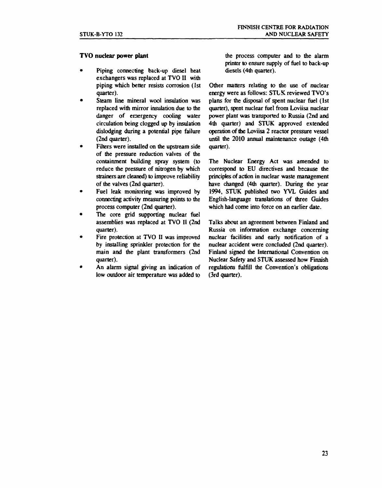#### **TVO nuclear power plant**

- Piping connecting back-up diesel heat exchangers was replaced at TVO II with piping which better resists corrosion (1st quarter).
- Steam line mineral wool insulation was replaced with mirror insulation due to the danger of emergency cooling water circulation being clogged up by insulation dislodging during a potential pipe failure (2nd quarter).
- Filters were installed on the upstream side of the pressure reduction valves of the containment building spray system (to reduce the pressure of nitrogen by which strainers are cleaned) to improve reliability of the valves (2nd quarter).
- Fuel leak monitoring was improved by connecting activity measuring points to the process computer (2nd quarter).
- The core grid supporting nuclear fuel assemblies was replaced at TVO II (2nd quarter).
- Fire protection at TVO II was improved by installing sprinkler protection for the main and the plant transformers (2nd quarter).
- An alarm signal giving an indication of low outdoor air temperature was added to

the process computer and to the alarm printer to ensure supply of fuel to back-up diesels (4th quarter).

Other matters relating to die use of nuclear energy were as follows: STUK reviewed TVO's plans for the disposal of spent nuclear fuel (1st quarter), spent nuclear fuel from Loviisa nuclear power plant was transported to Russia (2nd and 4th quarter) and STUK approved extended operation of the Loviisa 2 reactor pressure vessel until the 2010 annual maintenance outage (4th quarter).

The Nuclear Energy Act was amended to correspond to EU directives and because the principles of action in nuclear waste management have changed (4th quarter). During the year 1994, STUK published two YVL Guides and English-language translations of three Guides which had come into force on an earlier date.

Talks about an agreement between Finland and Russia on information exchange concerning nuclear facilities and early notification of a nuclear accident were concluded (2nd quarter). Finland signed the International Convention on Nuclear Safety and STUK assessed how Finnish regulations fulfill the Convention's obligations (3rd quarter).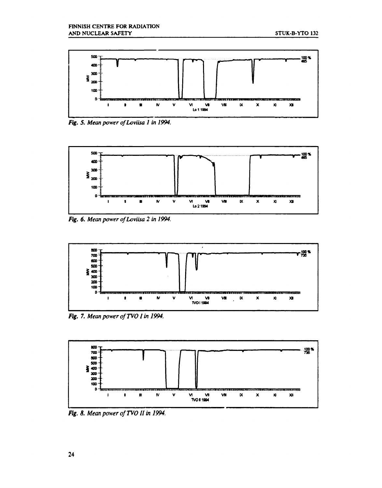

Fig. 5. Mean power of Loviisa 1 in 1994.



Fig. 6. Mean power of Loviisa 2 in 1994.



Fig. 7. Mean power of TVO 1 in 1994.



Fig. 8. Mean power of TVO II in 1994.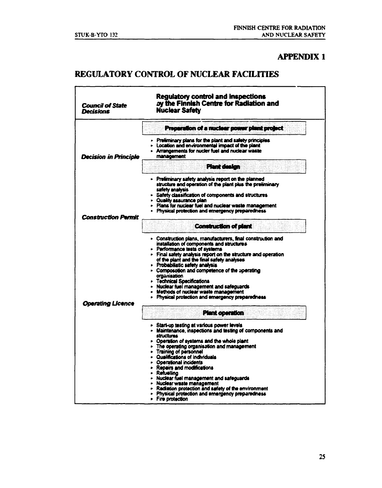#### **APPENDIX 1**

 $-$ 

### **REGULATORY CONTROL OF NUCLEAR FACILITIES**

| <b>Council of State</b><br><b>Decisions</b> | <b>Regulatory control and inspections</b><br>by the Finnish Centre for Radiation and<br>Nuclear Safety                                                                                                                                                                                                                                                                                                                                                                                                                                                           |
|---------------------------------------------|------------------------------------------------------------------------------------------------------------------------------------------------------------------------------------------------------------------------------------------------------------------------------------------------------------------------------------------------------------------------------------------------------------------------------------------------------------------------------------------------------------------------------------------------------------------|
|                                             | Preparation of a nuclear power plant project                                                                                                                                                                                                                                                                                                                                                                                                                                                                                                                     |
| <b>Decision in Principle</b>                | - Preliminary plans for the plant and safety principles<br>$\triangleright$ Location and environmental impact of the plant<br>> Arrangements for nucler fuel and nuclear waste<br>management                                                                                                                                                                                                                                                                                                                                                                     |
|                                             | Plant design                                                                                                                                                                                                                                                                                                                                                                                                                                                                                                                                                     |
|                                             | - Preliminary safety analysis report on the planned<br>structure and operation of the plant plus the preliminary<br>safety analysis                                                                                                                                                                                                                                                                                                                                                                                                                              |
|                                             | > Safety classification of components and structures<br>• Quality assurance plan<br>- Plans for nuclear fuel and nuclear waste management                                                                                                                                                                                                                                                                                                                                                                                                                        |
| <b>Construction Permit</b>                  | > Physical protection and emergency preparedness                                                                                                                                                                                                                                                                                                                                                                                                                                                                                                                 |
|                                             | <b>Construction of plant</b>                                                                                                                                                                                                                                                                                                                                                                                                                                                                                                                                     |
|                                             | • Construction plans, manufacturers, final construction and<br>installation of components and structures<br>- Performance tests of systems<br>- Final safety analysis report on the structure and operation<br>of the plant and the final safety analyses<br>- Probabilistic safety analysis<br>• Composotion and competence of the operating<br>organisation<br>- Technical Specifications<br>• Nuclear fuel management and safeguards<br>- Methods of nuclear waste management<br>- Physical protection and emergency preparedness                             |
| <b>Operating Licence</b>                    | <b>Plant operation</b>                                                                                                                                                                                                                                                                                                                                                                                                                                                                                                                                           |
|                                             | > Start-up testing at various power levels<br>• Maintenance, inspections and testing of components and<br>structures<br>- Operation of systems and the whole plant<br>The operating organisation and management<br>- Training of personnel<br>Qualifications of individuals<br>- Operational incidents<br>- Repairs and modifications<br>• Refuellina<br>- Nuclear fuel management and safeguards<br>- Nuclear waste management<br>- Radiation protection and safety of the environment<br>- Physical protection and emergency preparedness<br>- Fire protection |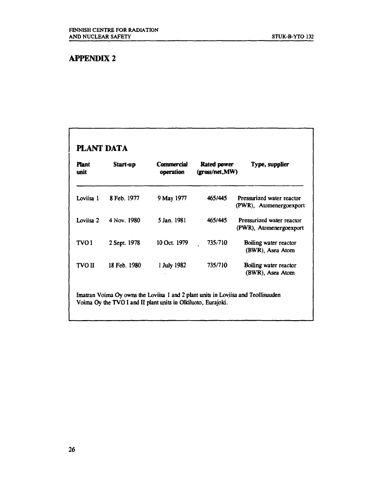### **APPENDIX 2**

### **PLANT DATA**

| 8 Feb. 1977 | 9 May 1977                                  | 465/445                     | Pressurized water reactor<br>(PWR), Atomenergoexport |
|-------------|---------------------------------------------|-----------------------------|------------------------------------------------------|
|             |                                             | 465/445                     | Pressurized water reactor<br>(PWR), Atomenergoexport |
|             |                                             | 735/710                     | Boiling water reactor<br>(BWR), Asea Atom            |
|             | 1 July 1982                                 | 735/710                     | Boiling water reactor<br>(BWR), Asea Atom            |
|             | 4 Nov. 1980<br>2 Sept. 1978<br>18 Feb. 1980 | 5 Jan. 1981<br>10 Oct. 1979 |                                                      |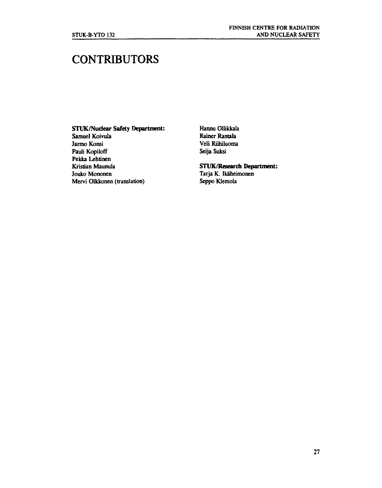## **CONTRIBUTORS**

#### **STUK/Nudear Safety Department:**

Samuel Koivula Jarmo Konsi Pauli Kopiloff Pekka Lehtinen Kristian Maunula Jouko Mononen Mervi Olkkonen (translation) Hannu Ollikkala Rainer Rantala Veli Riihiluoma Seija Suksi

#### **STUK/Research Department:**

Tarja K. Ikäheimonen Seppo Klemola